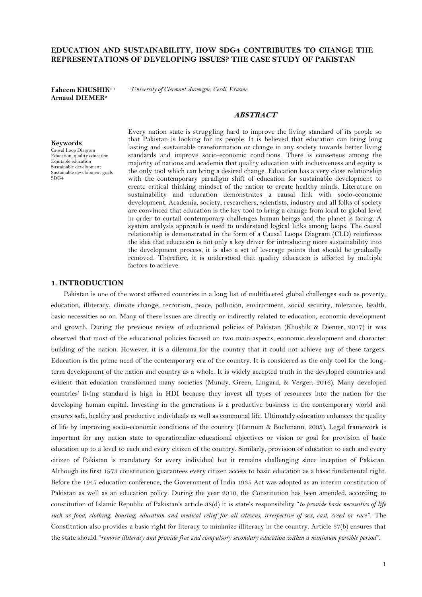# **EDUCATION AND SUSTAINABILITY, HOW SDG4 CONTRIBUTES TO CHANGE THE REPRESENTATIONS OF DEVELOPING ISSUES? THE CASE STUDY OF PAKISTAN**

**Faheem KHUSHIK<sup>1</sup> <sup>+</sup> Arnaud DIEMER<sup>2</sup>**

*1,2University of Clermont Auvergne, Cerdi, Erasme.*

# **ABSTRACT**

**Keywords** Causal Loop Diagram Education, quality education Equitable education Sustainable development Sustainable development goals SDG4

Every nation state is struggling hard to improve the living standard of its people so that Pakistan is looking for its people. It is believed that education can bring long lasting and sustainable transformation or change in any society towards better living standards and improve socio-economic conditions. There is consensus among the majority of nations and academia that quality education with inclusiveness and equity is the only tool which can bring a desired change. Education has a very close relationship with the contemporary paradigm shift of education for sustainable development to create critical thinking mindset of the nation to create healthy minds. Literature on sustainability and education demonstrates a causal link with socio-economic development. Academia, society, researchers, scientists, industry and all folks of society are convinced that education is the key tool to bring a change from local to global level in order to curtail contemporary challenges human beings and the planet is facing. A system analysis approach is used to understand logical links among loops. The causal relationship is demonstrated in the form of a Causal Loops Diagram (CLD) reinforces the idea that education is not only a key driver for introducing more sustainability into the development process, it is also a set of leverage points that should be gradually removed. Therefore, it is understood that quality education is affected by multiple factors to achieve.

# **1. INTRODUCTION**

Pakistan is one of the worst affected countries in a long list of multifaceted global challenges such as poverty, education, illiteracy, climate change, terrorism, peace, pollution, environment, social security, tolerance, health, basic necessities so on. Many of these issues are directly or indirectly related to education, economic development and growth. During the previous review of educational policies of Pakistan [\(Khushik & Diemer, 2017\)](#page-17-0) it was observed that most of the educational policies focused on two main aspects, economic development and character building of the nation. However, it is a dilemma for the country that it could not achieve any of these targets. Education is the prime need of the contemporary era of the country. It is considered as the only tool for the longterm development of the nation and country as a whole. It is widely accepted truth in the developed countries and evident that education transformed many societies [\(Mundy, Green, Lingard, & Verger, 2016\)](#page-17-1). Many developed countries' living standard is high in HDI because they invest all types of resources into the nation for the developing human capital. Investing in the generations is a productive business in the contemporary world and ensures safe, healthy and productive individuals as well as communal life. Ultimately education enhances the quality of life by improving socio-economic conditions of the country [\(Hannum & Buchmann, 2005\)](#page-17-2). Legal framework is important for any nation state to operationalize educational objectives or vision or goal for provision of basic education up to a level to each and every citizen of the country. Similarly, provision of education to each and every citizen of Pakistan is mandatory for every individual but it remains challenging since inception of Pakistan. Although its first 1973 constitution guarantees every citizen access to basic education as a basic fundamental right. Before the 1947 education conference, the Government of India 1935 Act was adopted as an interim constitution of Pakistan as well as an education policy. During the year 2010, the Constitution has been amended, according to constitution of Islamic Republic of Pakistan's article 38(d) it is state's responsibility "*to provide basic necessities of life such as food, clothing, housing, education and medical relief for all citizens, irrespective of sex, cast, creed or race"*. The Constitution also provides a basic right for literacy to minimize illiteracy in the country. Article 37(b) ensures that the state should "*remove illiteracy and provide free and compulsory secondary education within a minimum possible period".*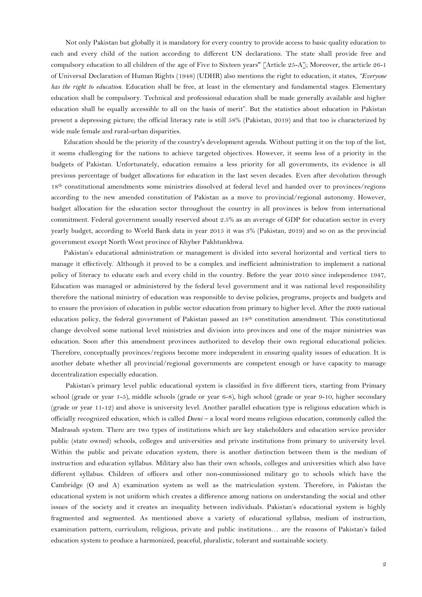Not only Pakistan but globally it is mandatory for every country to provide access to basic quality education to each and every child of the nation according to different UN declarations. The state shall provide free and compulsory education to all children of the age of Five to Sixteen years'' [Article 25-A]; Moreover, the article 26-1 of [Universal Declaration of Human Rights \(1](#page-18-0)948) (UDHR) also mentions the right to education, it states, *"Everyone has the right to education.* Education shall be free, at least in the elementary and fundamental stages. Elementary education shall be compulsory. Technical and professional education shall be made generally available and higher education shall be equally accessible to all on the basis of merit". But the statistics about education in Pakistan present a depressing picture; the official literacy rate is still 58% [\(Pakistan, 2](#page-17-3)019) and that too is characterized by wide male female and rural-urban disparities.

Education should be the priority of the country's development agenda. Without putting it on the top of the list, it seems challenging for the nations to achieve targeted objectives. However, it seems less of a priority in the budgets of Pakistan. Unfortunately, education remains a less priority for all governments, its evidence is all previous percentage of budget allocations for education in the last seven decades. Even after devolution through 18th constitutional amendments some ministries dissolved at federal level and handed over to provinces/regions according to the new amended constitution of Pakistan as a move to provincial/regional autonomy. However, budget allocation for the education sector throughout the country in all provinces is below from international commitment. Federal government usually reserved about 2.5% as an average of GDP for education sector in every yearly budget, according to World Bank data in year 2015 it was 3% (Pakistan, 2019) and so on as the provincial government except North West province of Khyber Pakhtunkhwa.

Pakistan's educational administration or management is divided into several horizontal and vertical tiers to manage it effectively. Although it proved to be a complex and inefficient administration to implement a national policy of literacy to educate each and every child in the country. Before the year 2010 since independence 1947, Education was managed or administered by the federal level government and it was national level responsibility therefore the national ministry of education was responsible to devise policies, programs, projects and budgets and to ensure the provision of education in public sector education from primary to higher level. After the 2009 national education policy, the federal government of Pakistan passed an 18th constitution amendment. This constitutional change devolved some national level ministries and division into provinces and one of the major ministries was education. Soon after this amendment provinces authorized to develop their own regional educational policies. Therefore, conceptually provinces/regions become more independent in ensuring quality issues of education. It is another debate whether all provincial/regional governments are competent enough or have capacity to manage decentralization especially education.

Pakistan's primary level public educational system is classified in five different tiers, starting from Primary school (grade or year 1-5), middle schools (grade or year 6-8), high school (grade or year 9-10, higher secondary (grade or year 11-12) and above is university level. Another parallel education type is religious education which is officially recognized education, which is called *Deeni* – a local word means religious education, commonly called the Madrasah system. There are two types of institutions which are key stakeholders and education service provider public (state owned) schools, colleges and universities and private institutions from primary to university level. Within the public and private education system, there is another distinction between them is the medium of instruction and education syllabus. Military also has their own schools, colleges and universities which also have different syllabus. Children of officers and other non-commissioned military go to schools which have the Cambridge (O and A) examination system as well as the matriculation system. Therefore, in Pakistan the educational system is not uniform which creates a difference among nations on understanding the social and other issues of the society and it creates an inequality between individuals. Pakistan's educational system is highly fragmented and segmented. As mentioned above a variety of educational syllabus, medium of instruction, examination pattern, curriculum, religious, private and public institutions… are the reasons of Pakistan's failed education system to produce a harmonized, peaceful, pluralistic, tolerant and sustainable society.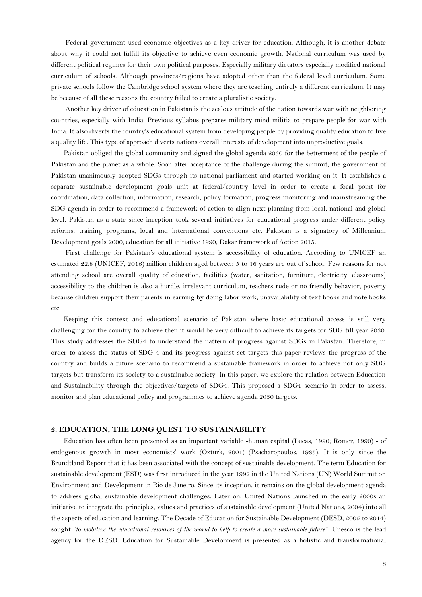Federal government used economic objectives as a key driver for education. Although, it is another debate about why it could not fulfill its objective to achieve even economic growth. National curriculum was used by different political regimes for their own political purposes. Especially military dictators especially modified national curriculum of schools. Although provinces/regions have adopted other than the federal level curriculum. Some private schools follow the Cambridge school system where they are teaching entirely a different curriculum. It may be because of all these reasons the country failed to create a pluralistic society.

Another key driver of education in Pakistan is the zealous attitude of the nation towards war with neighboring countries, especially with India. Previous syllabus prepares military mind militia to prepare people for war with India. It also diverts the country's educational system from developing people by providing quality education to live a quality life. This type of approach diverts nations overall interests of development into unproductive goals.

Pakistan obliged the global community and signed the global agenda 2030 for the betterment of the people of Pakistan and the planet as a whole. Soon after acceptance of the challenge during the summit, the government of Pakistan unanimously adopted SDGs through its national parliament and started working on it. It establishes a separate sustainable development goals unit at federal/country level in order to create a focal point for coordination, data collection, information, research, policy formation, progress monitoring and mainstreaming the SDG agenda in order to recommend a framework of action to align next planning from local, national and global level. Pakistan as a state since inception took several initiatives for educational progress under different policy reforms, training programs, local and international conventions etc. Pakistan is a signatory of Millennium Development goals 2000, education for all initiative 1990, Dakar framework of Action 2015.

First challenge for Pakistan's educational system is accessibility of education. According to UNICEF an estimated 22.8 (UNICEF, 2016) million children aged between 5 to 16 years are out of school. Few reasons for not attending school are overall quality of education, facilities (water, sanitation, furniture, electricity, classrooms) accessibility to the children is also a hurdle, irrelevant curriculum, teachers rude or no friendly behavior, poverty because children support their parents in earning by doing labor work, unavailability of text books and note books etc.

Keeping this context and educational scenario of Pakistan where basic educational access is still very challenging for the country to achieve then it would be very difficult to achieve its targets for SDG till year 2030. This study addresses the SDG4 to understand the pattern of progress against SDGs in Pakistan. Therefore, in order to assess the status of SDG 4 and its progress against set targets this paper reviews the progress of the country and builds a future scenario to recommend a sustainable framework in order to achieve not only SDG targets but transform its society to a sustainable society. In this paper, we explore the relation between Education and Sustainability through the objectives/targets of SDG4. This proposed a SDG4 scenario in order to assess, monitor and plan educational policy and programmes to achieve agenda 2030 targets.

## **2. EDUCATION, THE LONG QUEST TO SUSTAINABILITY**

Education has often been presented as an important variable -human capital [\(Lucas, 1990;](#page-17-4) [Romer, 1990\)](#page-17-5) - of endogenous growth in most economists' work [\(Ozturk, 2001\)](#page-17-6) (Psacharopoulos, 1985). It is only since the Brundtland Report that it has been associated with the concept of sustainable development. The term Education for sustainable development (ESD) was first introduced in the year 1992 in the United Nations (UN) World Summit on Environment and Development in Rio de Janeiro. Since its inception, it remains on the global development agenda to address global sustainable development challenges. Later on, United Nations launched in the early 2000s an initiative to integrate the principles, values and practices of sustainable development [\(United Nations, 2004\)](#page-18-1) into all the aspects of education and learning. The Decade of Education for Sustainable Development (DESD, 2005 to 2014) sought "*to mobilize the educational resources of the world to help to create a more sustainable future*". Unesco is the lead agency for the DESD. Education for Sustainable Development is presented as a holistic and transformational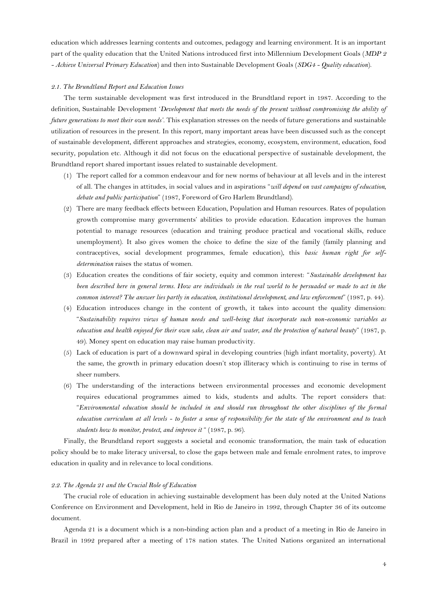education which addresses learning contents and outcomes, pedagogy and learning environment. It is an important part of the quality education that the United Nations introduced first into Millennium Development Goals (*MDP 2 - Achieve Universal Primary Education*) and then into Sustainable Development Goals (*SDG4 - Quality education*).

#### *2.1. The Brundtland Report and Education Issues*

The term sustainable development was first introduced in the Brundtland report in 1987. According to the definition, Sustainable Development '*Development that meets the needs of the present without compromising the ability of future generations to meet their own needs'.* This explanation stresses on the needs of future generations and sustainable utilization of resources in the present. In this report, many important areas have been discussed such as the concept of sustainable development, different approaches and strategies, economy, ecosystem, environment, education, food security, population etc. Although it did not focus on the educational perspective of sustainable development, the Brundtland report shared important issues related to sustainable development.

- (1) The report called for a common endeavour and for new norms of behaviour at all levels and in the interest of all. The changes in attitudes, in social values and in aspirations "*will depend on vast campaigns of education, debate and public participation*" (1987, Foreword of Gro Harlem Brundtland).
- (2) There are many feedback effects between Education, Population and Human resources. Rates of population growth compromise many governments' abilities to provide education. Education improves the human potential to manage resources (education and training produce practical and vocational skills, reduce unemployment). It also gives women the choice to define the size of the family (family planning and contraceptives, social development programmes, female education), this *basic human right for selfdetermination* raises the status of women.
- (3) Education creates the conditions of fair society, equity and common interest: "*Sustainable development has*  been described here in general terms. How are individuals in the real world to be persuaded or made to act in the *common interest? The answer lies partly in education, institutional development, and law enforcement*" (1987, p. 44).
- (4) Education introduces change in the content of growth, it takes into account the quality dimension: "*Sustainability requires views of human needs and well-being that incorporate such non-economic variables as education and health enjoyed for their own sake, clean air and water, and the protection of natural beauty*" (1987, p. 49). Money spent on education may raise human productivity.
- (5) Lack of education is part of a downward spiral in developing countries (high infant mortality, poverty). At the same, the growth in primary education doesn't stop illiteracy which is continuing to rise in terms of sheer numbers.
- (6) The understanding of the interactions between environmental processes and economic development requires educational programmes aimed to kids, students and adults. The report considers that: "*Environmental education should be included in and should run throughout the other disciplines of the formal education curriculum at all levels - to foster a sense of responsibility for the state of the environment and to teach students how to monitor, protect, and improve it* " (1987, p. 96).

Finally, the Brundtland report suggests a societal and economic transformation, the main task of education policy should be to make literacy universal, to close the gaps between male and female enrolment rates, to improve education in quality and in relevance to local conditions.

#### *2.2. The Agenda 21 and the Crucial Role of Education*

The crucial role of education in achieving sustainable development has been duly noted at the United Nations Conference on Environment and Development, held in Rio de Janeiro in 1992, through Chapter 36 of its outcome document.

Agenda 21 is a document which is a non-binding action plan and a product of a meeting in Rio de Janeiro in Brazil in 1992 prepared after a meeting of 178 nation states. The United Nations organized an international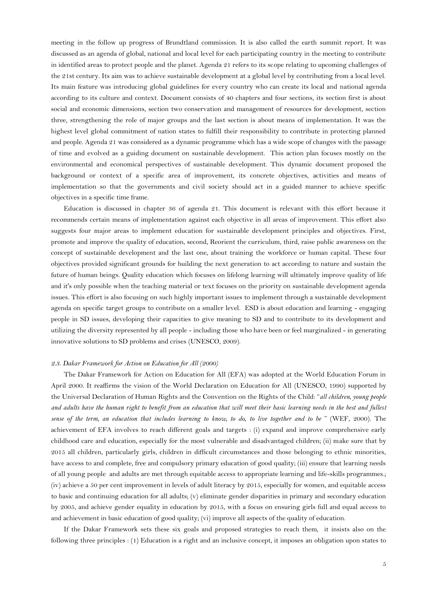meeting in the follow up progress of Brundtland commission. It is also called the earth summit report. It was discussed as an agenda of global, national and local level for each participating country in the meeting to contribute in identified areas to protect people and the planet. Agenda 21 refers to its scope relating to upcoming challenges of the 21st century. Its aim was to achieve sustainable development at a global level by contributing from a local level. Its main feature was introducing global guidelines for every country who can create its local and national agenda according to its culture and context. Document consists of 40 chapters and four sections, its section first is about social and economic dimensions, section two conservation and management of resources for development, section three, strengthening the role of major groups and the last section is about means of implementation. It was the highest level global commitment of nation states to fulfill their responsibility to contribute in protecting planned and people. Agenda 21 was considered as a dynamic programme which has a wide scope of changes with the passage of time and evolved as a guiding document on sustainable development. This action plan focuses mostly on the environmental and economical perspectives of sustainable development. This dynamic document proposed the background or context of a specific area of improvement, its concrete objectives, activities and means of implementation so that the governments and civil society should act in a guided manner to achieve specific objectives in a specific time frame.

Education is discussed in chapter 36 of agenda 21. This document is relevant with this effort because it recommends certain means of implementation against each objective in all areas of improvement. This effort also suggests four major areas to implement education for sustainable development principles and objectives. First, promote and improve the quality of education, second, Reorient the curriculum, third, raise public awareness on the concept of sustainable development and the last one, about training the workforce or human capital. These four objectives provided significant grounds for building the next generation to act according to nature and sustain the future of human beings. Quality education which focuses on lifelong learning will ultimately improve quality of life and it's only possible when the teaching material or text focuses on the priority on sustainable development agenda issues. This effort is also focusing on such highly important issues to implement through a sustainable development agenda on specific target groups to contribute on a smaller level. ESD is about education and learning - engaging people in SD issues, developing their capacities to give meaning to SD and to contribute to its development and utilizing the diversity represented by all people - including those who have been or feel marginalized - in generating innovative solutions to SD problems and crises [\(UNESCO, 2009\)](#page-17-7).

#### *2.3. Dakar Framework for Action on Education for All (2000)*

The Dakar Framework for Action on Education for All (EFA) was adopted at the World Education Forum in April 2000. It reaffirms the vision of the World Declaration on Education for All (UNESCO, 1990) supported by the Universal Declaration of Human Rights and the Convention on the Rights of the Child: "*all children, young people*  and adults have the human right to benefit from an education that will meet their basic learning needs in the best and fullest *sense of the term, an education that includes learning to know, to do, to live together and to be* " (WEF, 2000). The achievement of EFA involves to reach different goals and targets : (i) expand and improve comprehensive early childhood care and education, especially for the most vulnerable and disadvantaged children; (ii) make sure that by 2015 all children, particularly girls, children in difficult circumstances and those belonging to ethnic minorities, have access to and complete, free and compulsory primary education of good quality; (iii) ensure that learning needs of all young people and adults are met through equitable access to appropriate learning and life-skills programmes.; (iv) achieve a 50 per cent improvement in levels of adult literacy by 2015, especially for women, and equitable access to basic and continuing education for all adults; (v) eliminate gender disparities in primary and secondary education by 2005, and achieve gender equality in education by 2015, with a focus on ensuring girls full and equal access to and achievement in basic education of good quality; (vi) improve all aspects of the quality of education.

If the Dakar Framework sets these six goals and proposed strategies to reach them, it insists also on the following three principles : (1) Education is a right and an inclusive concept, it imposes an obligation upon states to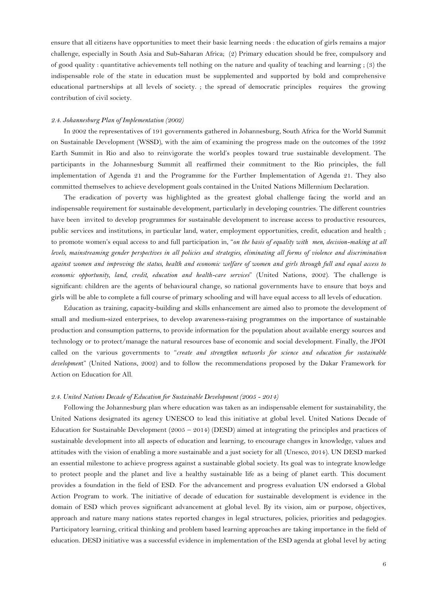ensure that all citizens have opportunities to meet their basic learning needs : the education of girls remains a major challenge, especially in South Asia and Sub-Saharan Africa; (2) Primary education should be free, compulsory and of good quality : quantitative achievements tell nothing on the nature and quality of teaching and learning ; (3) the indispensable role of the state in education must be supplemented and supported by bold and comprehensive educational partnerships at all levels of society. ; the spread of democratic principles requires the growing contribution of civil society.

## *2.4. Johannesburg Plan of Implementation (2002)*

In 2002 the representatives of 191 governments gathered in Johannesburg, South Africa for the World Summit on Sustainable Development (WSSD), with the aim of examining the progress made on the outcomes of the 1992 Earth Summit in Rio and also to reinvigorate the world's peoples toward true sustainable development. The participants in the Johannesburg Summit all reaffirmed their commitment to the Rio principles, the full implementation of Agenda 21 and the Programme for the Further Implementation of Agenda 21. They also committed themselves to achieve development goals contained in the United Nations Millennium Declaration.

The eradication of poverty was highlighted as the greatest global challenge facing the world and an indispensable requirement for sustainable development, particularly in developing countries. The different countries have been invited to develop programmes for sustainable development to increase access to productive resources, public services and institutions, in particular land, water, employment opportunities, credit, education and health ; to promote women's equal access to and full participation in, "*on the basis of equality with men, decision-making at all levels, mainstreaming gender perspectives in all policies and strategies, eliminating all forms of violence and discrimination against women and improving the status, health and economic welfare of women and girls through full and equal access to economic opportunity, land, credit, education and health-care services*" (United Nations, 2002). The challenge is significant: children are the agents of behavioural change, so national governments have to ensure that boys and girls will be able to complete a full course of primary schooling and will have equal access to all levels of education.

Education as training, capacity-building and skills enhancement are aimed also to promote the development of small and medium-sized enterprises, to develop awareness-raising programmes on the importance of sustainable production and consumption patterns, to provide information for the population about available energy sources and technology or to protect/manage the natural resources base of economic and social development. Finally, the JPOI called on the various governments to "*create and strengthen networks for science and education for sustainable developmen*t" (United Nations, 2002) and to follow the recommendations proposed by the Dakar Framework for Action on Education for All.

#### *2.4. United Nations Decade of Education for Sustainable Development (2005 - 2014)*

Following the Johannesburg plan where education was taken as an indispensable element for sustainability, the United Nations designated its agency UNESCO to lead this initiative at global level. United Nations Decade of Education for Sustainable Development (2005 – 2014) (DESD) aimed at integrating the principles and practices of sustainable development into all aspects of education and learning, to encourage changes in knowledge, values and attitudes with the vision of enabling a more sustainable and a just society for all [\(Unesco, 2014\)](#page-17-8). UN DESD marked an essential milestone to achieve progress against a sustainable global society. Its goal was to integrate knowledge to protect people and the planet and live a healthy sustainable life as a being of planet earth. This document provides a foundation in the field of ESD. For the advancement and progress evaluation UN endorsed a Global Action Program to work. The initiative of decade of education for sustainable development is evidence in the domain of ESD which proves significant advancement at global level. By its vision, aim or purpose, objectives, approach and nature many nations states reported changes in legal structures, policies, priorities and pedagogies. Participatory learning, critical thinking and problem based learning approaches are taking importance in the field of education. DESD initiative was a successful evidence in implementation of the ESD agenda at global level by acting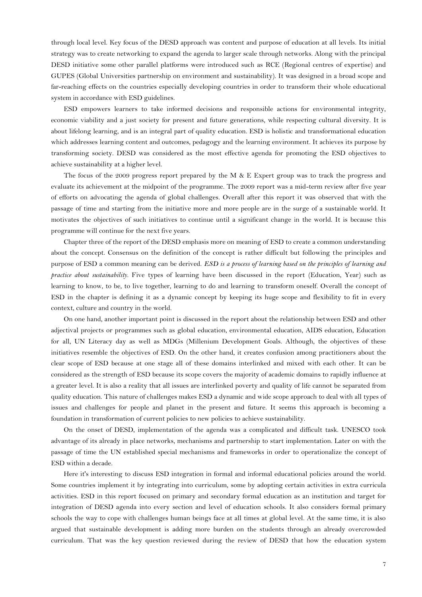through local level. Key focus of the DESD approach was content and purpose of education at all levels. Its initial strategy was to create networking to expand the agenda to larger scale through networks. Along with the principal DESD initiative some other parallel platforms were introduced such as RCE (Regional centres of expertise) and GUPES (Global Universities partnership on environment and sustainability). It was designed in a broad scope and far-reaching effects on the countries especially developing countries in order to transform their whole educational system in accordance with ESD guidelines.

ESD empowers learners to take informed decisions and responsible actions for environmental integrity, economic viability and a just society for present and future generations, while respecting cultural diversity. It is about lifelong learning, and is an integral part of quality education. ESD is holistic and transformational education which addresses learning content and outcomes, pedagogy and the learning environment. It achieves its purpose by transforming society. DESD was considered as the most effective agenda for promoting the ESD objectives to achieve sustainability at a higher level.

The focus of the 2009 progress report prepared by the M & E Expert group was to track the progress and evaluate its achievement at the midpoint of the programme. The 2009 report was a mid-term review after five year of efforts on advocating the agenda of global challenges. Overall after this report it was observed that with the passage of time and starting from the initiative more and more people are in the surge of a sustainable world. It motivates the objectives of such initiatives to continue until a significant change in the world. It is because this programme will continue for the next five years.

Chapter three of the report of the DESD emphasis more on meaning of ESD to create a common understanding about the concept. Consensus on the definition of the concept is rather difficult but following the principles and purpose of ESD a common meaning can be derived. *ESD is a process of learning based on the principles of learning and practice about sustainability.* Five types of learning have been discussed in the report [\(Education, Year\)](#page-17-9) such as learning to know, to be, to live together, learning to do and learning to transform oneself. Overall the concept of ESD in the chapter is defining it as a dynamic concept by keeping its huge scope and flexibility to fit in every context, culture and country in the world.

On one hand, another important point is discussed in the report about the relationship between ESD and other adjectival projects or programmes such as global education, environmental education, AIDS education, Education for all, UN Literacy day as well as MDGs (Millenium Development Goals. Although, the objectives of these initiatives resemble the objectives of ESD. On the other hand, it creates confusion among practitioners about the clear scope of ESD because at one stage all of these domains interlinked and mixed with each other. It can be considered as the strength of ESD because its scope covers the majority of academic domains to rapidly influence at a greater level. It is also a reality that all issues are interlinked poverty and quality of life cannot be separated from quality education. This nature of challenges makes ESD a dynamic and wide scope approach to deal with all types of issues and challenges for people and planet in the present and future. It seems this approach is becoming a foundation in transformation of current policies to new policies to achieve sustainability.

On the onset of DESD, implementation of the agenda was a complicated and difficult task. UNESCO took advantage of its already in place networks, mechanisms and partnership to start implementation. Later on with the passage of time the UN established special mechanisms and frameworks in order to operationalize the concept of ESD within a decade.

Here it's interesting to discuss ESD integration in formal and informal educational policies around the world. Some countries implement it by integrating into curriculum, some by adopting certain activities in extra curricula activities. ESD in this report focused on primary and secondary formal education as an institution and target for integration of DESD agenda into every section and level of education schools. It also considers formal primary schools the way to cope with challenges human beings face at all times at global level. At the same time, it is also argued that sustainable development is adding more burden on the students through an already overcrowded curriculum. That was the key question reviewed during the review of DESD that how the education system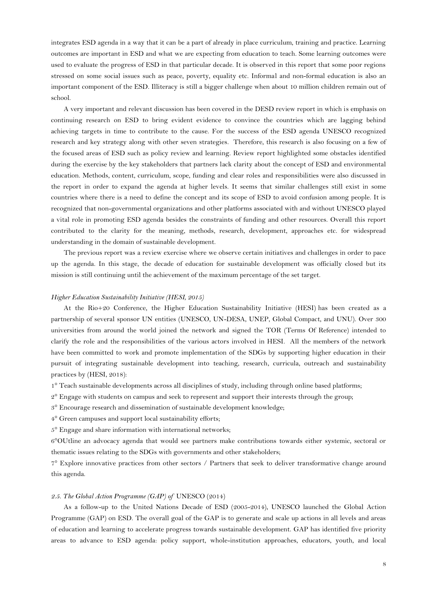integrates ESD agenda in a way that it can be a part of already in place curriculum, training and practice. Learning outcomes are important in ESD and what we are expecting from education to teach. Some learning outcomes were used to evaluate the progress of ESD in that particular decade. It is observed in this report that some poor regions stressed on some social issues such as peace, poverty, equality etc. Informal and non-formal education is also an important component of the ESD. Illiteracy is still a bigger challenge when about 10 million children remain out of school.

A very important and relevant discussion has been covered in the DESD review report in which is emphasis on continuing research on ESD to bring evident evidence to convince the countries which are lagging behind achieving targets in time to contribute to the cause. For the success of the ESD agenda UNESCO recognized research and key strategy along with other seven strategies. Therefore, this research is also focusing on a few of the focused areas of ESD such as policy review and learning. Review report highlighted some obstacles identified during the exercise by the key stakeholders that partners lack clarity about the concept of ESD and environmental education. Methods, content, curriculum, scope, funding and clear roles and responsibilities were also discussed in the report in order to expand the agenda at higher levels. It seems that similar challenges still exist in some countries where there is a need to define the concept and its scope of ESD to avoid confusion among people. It is recognized that non-governmental organizations and other platforms associated with and without UNESCO played a vital role in promoting ESD agenda besides the constraints of funding and other resources. Overall this report contributed to the clarity for the meaning, methods, research, development, approaches etc. for widespread understanding in the domain of sustainable development.

The previous report was a review exercise where we observe certain initiatives and challenges in order to pace up the agenda. In this stage, the decade of education for sustainable development was officially closed but its mission is still continuing until the achievement of the maximum percentage of the set target.

#### *Higher Education Sustainability Initiative (HESI, 2015)*

At the Rio+20 Conference, the Higher Education Sustainability Initiative (HESI) has been created as a partnership of several sponsor UN entities (UNESCO, UN-DESA, UNEP, Global Compact, and UNU). Over 300 universities from around the world joined the network and signed the TOR (Terms Of Reference) intended to clarify the role and the responsibilities of the various actors involved in HESI. All the members of the network have been committed to work and promote implementation of the SDGs by supporting higher education in their pursuit of integrating sustainable development into teaching, research, curricula, outreach and sustainability practices by (HESI, 2018):

1° Teach sustainable developments across all disciplines of study, including through online based platforms;

- $2^{\circ}$  Engage with students on campus and seek to represent and support their interests through the group;
- 3° Encourage research and dissemination of sustainable development knowledge;

4° Green campuses and support local sustainability efforts;

5° Engage and share information with international networks;

6°OUtline an advocacy agenda that would see partners make contributions towards either systemic, sectoral or thematic issues relating to the SDGs with governments and other stakeholders;

7° Explore innovative practices from other sectors / Partners that seek to deliver transformative change around this agenda.

#### *2.5. The Global Action Programme (GAP) of* [UNESCO \(2014\)](#page-17-10)

As a follow-up to the United Nations Decade of ESD (2005-2014), UNESCO launched the Global Action Programme (GAP) on ESD. The overall goal of the GAP is to generate and scale up actions in all levels and areas of education and learning to accelerate progress towards sustainable development. GAP has identified five priority areas to advance to ESD agenda: policy support, whole-institution approaches, educators, youth, and local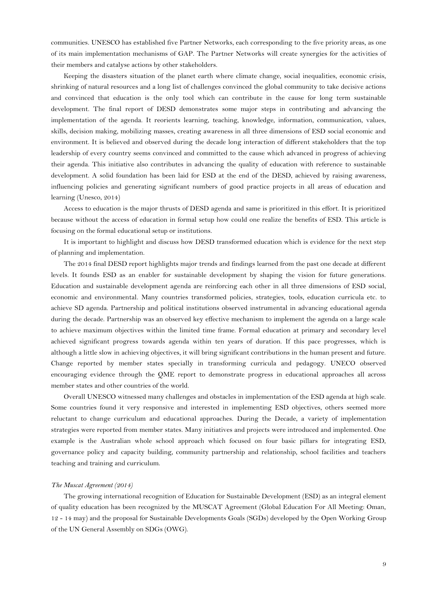communities. UNESCO has established five Partner Networks, each corresponding to the five priority areas, as one of its main implementation mechanisms of GAP. The Partner Networks will create synergies for the activities of their members and catalyse actions by other stakeholders.

Keeping the disasters situation of the planet earth where climate change, social inequalities, economic crisis, shrinking of natural resources and a long list of challenges convinced the global community to take decisive actions and convinced that education is the only tool which can contribute in the cause for long term sustainable development. The final report of DESD demonstrates some major steps in contributing and advancing the implementation of the agenda. It reorients learning, teaching, knowledge, information, communication, values, skills, decision making, mobilizing masses, creating awareness in all three dimensions of ESD social economic and environment. It is believed and observed during the decade long interaction of different stakeholders that the top leadership of every country seems convinced and committed to the cause which advanced in progress of achieving their agenda. This initiative also contributes in advancing the quality of education with reference to sustainable development. A solid foundation has been laid for ESD at the end of the DESD, achieved by raising awareness, influencing policies and generating significant numbers of good practice projects in all areas of education and learning [\(Unesco, 2014\)](#page-17-11)

Access to education is the major thrusts of DESD agenda and same is prioritized in this effort. It is prioritized because without the access of education in formal setup how could one realize the benefits of ESD. This article is focusing on the formal educational setup or institutions.

It is important to highlight and discuss how DESD transformed education which is evidence for the next step of planning and implementation.

The 2014 final DESD report highlights major trends and findings learned from the past one decade at different levels. It founds ESD as an enabler for sustainable development by shaping the vision for future generations. Education and sustainable development agenda are reinforcing each other in all three dimensions of ESD social, economic and environmental. Many countries transformed policies, strategies, tools, education curricula etc. to achieve SD agenda. Partnership and political institutions observed instrumental in advancing educational agenda during the decade. Partnership was an observed key effective mechanism to implement the agenda on a large scale to achieve maximum objectives within the limited time frame. Formal education at primary and secondary level achieved significant progress towards agenda within ten years of duration. If this pace progresses, which is although a little slow in achieving objectives, it will bring significant contributions in the human present and future. Change reported by member states specially in transforming curricula and pedagogy. UNECO observed encouraging evidence through the QME report to demonstrate progress in educational approaches all across member states and other countries of the world.

Overall UNESCO witnessed many challenges and obstacles in implementation of the ESD agenda at high scale. Some countries found it very responsive and interested in implementing ESD objectives, others seemed more reluctant to change curriculum and educational approaches. During the Decade, a variety of implementation strategies were reported from member states. Many initiatives and projects were introduced and implemented. One example is the Australian whole school approach which focused on four basic pillars for integrating ESD, governance policy and capacity building, community partnership and relationship, school facilities and teachers teaching and training and curriculum.

### *The Muscat Agreement (2014)*

The growing international recognition of Education for Sustainable Development (ESD) as an integral element of quality education has been recognized by the MUSCAT Agreement (Global Education For All Meeting: Oman, 12 - 14 may) and the proposal for Sustainable Developments Goals (SGDs) developed by the Open Working Group of the UN General Assembly on SDGs (OWG).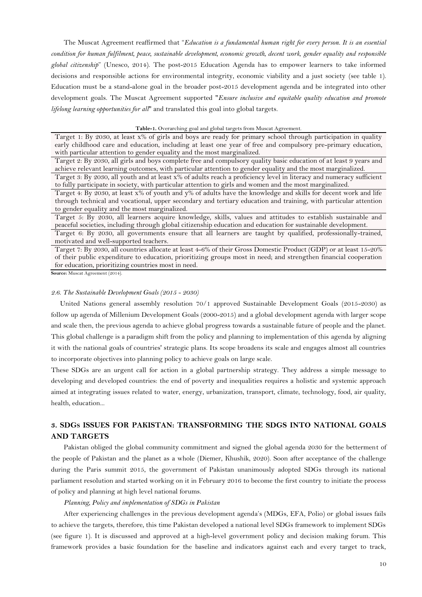The Muscat Agreement reaffirmed that "*Education is a fundamental human right for every person. It is an essential condition for human fulfilment, peace, sustainable development, economic growth, decent work, gender equality and responsible global citizenship*" (Unesco, 2014). The post-2015 Education Agenda has to empower learners to take informed decisions and responsible actions for environmental integrity, economic viability and a just society (see table 1). Education must be a stand-alone goal in the broader post-2015 development agenda and be integrated into other development goals. The Muscat Agreement supported "*Ensure inclusive and equitable quality education and promote lifelong learning opportunities for all*" and translated this goal into global targets.

#### **Table-1.** Overarching goal and global targets from Muscat Agreement.

Target 1: By 2030, at least x% of girls and boys are ready for primary school through participation in quality early childhood care and education, including at least one year of free and compulsory pre-primary education, with particular attention to gender equality and the most marginalized.

Target 2: By 2030, all girls and boys complete free and compulsory quality basic education of at least 9 years and achieve relevant learning outcomes, with particular attention to gender equality and the most marginalized. Target 3: By 2030, all youth and at least x% of adults reach a proficiency level in literacy and numeracy sufficient

to fully participate in society, with particular attention to girls and women and the most marginalized.

Target 4: By 2030, at least x% of youth and y% of adults have the knowledge and skills for decent work and life through technical and vocational, upper secondary and tertiary education and training, with particular attention to gender equality and the most marginalized.

Target 5: By 2030, all learners acquire knowledge, skills, values and attitudes to establish sustainable and peaceful societies, including through global citizenship education and education for sustainable development.

Target 6: By 2030, all governments ensure that all learners are taught by qualified, professionally-trained, motivated and well-supported teachers.

Target 7: By 2030, all countries allocate at least 4-6% of their Gross Domestic Product (GDP) or at least 15-20% of their public expenditure to education, prioritizing groups most in need; and strengthen financial cooperation for education, prioritizing countries most in need.

Source: Muscat Agreement (2014).

#### *2.6. The Sustainable Development Goals (2015 - 2030)*

 United Nations general assembly resolution 70/1 approved Sustainable Development Goals (2015-2030) as follow up agenda of Millenium Development Goals (2000-2015) and a global development agenda with larger scope and scale then, the previous agenda to achieve global progress towards a sustainable future of people and the planet. This global challenge is a paradigm shift from the policy and planning to implementation of this agenda by aligning it with the national goals of countries' strategic plans. Its scope broadens its scale and engages almost all countries to incorporate objectives into planning policy to achieve goals on large scale.

These SDGs are an urgent call for action in a global partnership strategy. They address a simple message to developing and developed countries: the end of poverty and inequalities requires a holistic and systemic approach aimed at integrating issues related to water, energy, urbanization, transport, climate, technology, food, air quality, health, education...

# **3. SDGS ISSUES FOR PAKISTAN: TRANSFORMING THE SDGS INTO NATIONAL GOALS AND TARGETS**

Pakistan obliged the global community commitment and signed the global agenda 2030 for the betterment of the people of Pakistan and the planet as a whole (Diemer, Khushik, 2020). Soon after acceptance of the challenge during the Paris summit 2015, the government of Pakistan unanimously adopted SDGs through its national parliament resolution and started working on it in February 2016 to become the first country to initiate the process of policy and planning at high level national forums.

#### *Planning, Policy and implementation of SDGs in Pakistan*

After experiencing challenges in the previous development agenda's (MDGs, EFA, Polio) or global issues fails to achieve the targets, therefore, this time Pakistan developed a national level SDGs framework to implement SDGs (see figure 1). It is discussed and approved at a high-level government policy and decision making forum. This framework provides a basic foundation for the baseline and indicators against each and every target to track,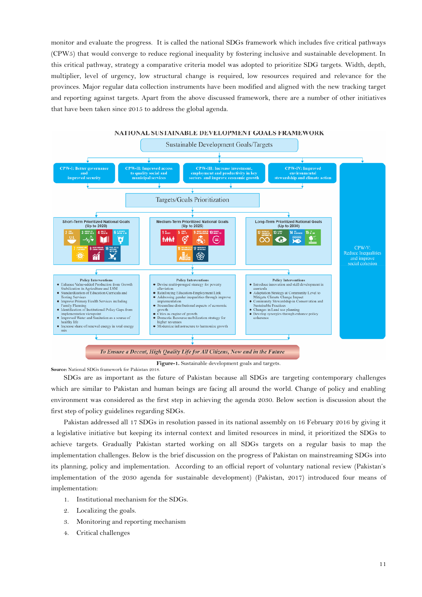monitor and evaluate the progress. It is called the national SDGs framework which includes five critical pathways (CPW5) that would converge to reduce regional inequality by fostering inclusive and sustainable development. In this critical pathway, strategy a comparative criteria model was adopted to prioritize SDG targets. Width, depth, multiplier, level of urgency, low structural change is required, low resources required and relevance for the provinces. Major regular data collection instruments have been modified and aligned with the new tracking target and reporting against targets. Apart from the above discussed framework, there are a number of other initiatives that have been taken since 2015 to address the global agenda.



**Figure-1.** Sustainable development goals and targets. **Source:** National SDGs framework for Pakistan 2018.

SDGs are as important as the future of Pakistan because all SDGs are targeting contemporary challenges which are similar to Pakistan and human beings are facing all around the world. Change of policy and enabling environment was considered as the first step in achieving the agenda 2030. Below section is discussion about the first step of policy guidelines regarding SDGs.

Pakistan addressed all 17 SDGs in resolution passed in its national assembly on 16 February 2016 by giving it a legislative initiative but keeping its internal context and limited resources in mind, it prioritized the SDGs to achieve targets. Gradually Pakistan started working on all SDGs targets on a regular basis to map the implementation challenges. Below is the brief discussion on the progress of Pakistan on mainstreaming SDGs into its planning, policy and implementation. According to an official report of voluntary national review (Pakistan's implementation of the 2030 agenda for sustainable development) [\(Pakistan, 2017\)](#page-17-12) introduced four means of implementation:

- 1. Institutional mechanism for the SDGs.
- 2. Localizing the goals.
- 3. Monitoring and reporting mechanism
- 4. Critical challenges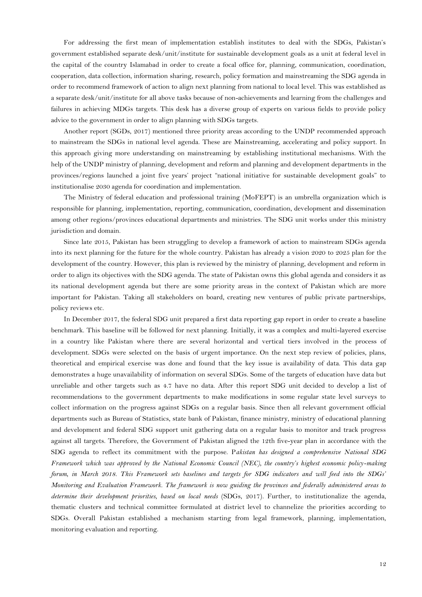For addressing the first mean of implementation establish institutes to deal with the SDGs, Pakistan's government established separate desk/unit/institute for sustainable development goals as a unit at federal level in the capital of the country Islamabad in order to create a focal office for, planning, communication, coordination, cooperation, data collection, information sharing, research, policy formation and mainstreaming the SDG agenda in order to recommend framework of action to align next planning from national to local level. This was established as a separate desk/unit/institute for all above tasks because of non-achievements and learning from the challenges and failures in achieving MDGs targets. This desk has a diverse group of experts on various fields to provide policy advice to the government in order to align planning with SDGs targets.

Another report (SGDs, 2017) mentioned three priority areas according to the UNDP recommended approach to mainstream the SDGs in national level agenda. These are Mainstreaming, accelerating and policy support. In this approach giving more understanding on mainstreaming by establishing institutional mechanisms. With the help of the UNDP ministry of planning, development and reform and planning and development departments in the provinces/regions launched a joint five years' project "national initiative for sustainable development goals" to institutionalise 2030 agenda for coordination and implementation.

The Ministry of federal education and professional training (MoFEPT) is an umbrella organization which is responsible for planning, implementation, reporting, communication, coordination, development and dissemination among other regions/provinces educational departments and ministries. The SDG unit works under this ministry jurisdiction and domain.

Since late 2015, Pakistan has been struggling to develop a framework of action to mainstream SDGs agenda into its next planning for the future for the whole country. Pakistan has already a vision 2020 to 2025 plan for the development of the country. However, this plan is reviewed by the ministry of planning, development and reform in order to align its objectives with the SDG agenda. The state of Pakistan owns this global agenda and considers it as its national development agenda but there are some priority areas in the context of Pakistan which are more important for Pakistan. Taking all stakeholders on board, creating new ventures of public private partnerships, policy reviews etc.

In December 2017, the federal SDG unit prepared a first data reporting gap report in order to create a baseline benchmark. This baseline will be followed for next planning. Initially, it was a complex and multi-layered exercise in a country like Pakistan where there are several horizontal and vertical tiers involved in the process of development. SDGs were selected on the basis of urgent importance. On the next step review of policies, plans, theoretical and empirical exercise was done and found that the key issue is availability of data. This data gap demonstrates a huge unavailability of information on several SDGs. Some of the targets of education have data but unreliable and other targets such as 4.7 have no data. After this report SDG unit decided to develop a list of recommendations to the government departments to make modifications in some regular state level surveys to collect information on the progress against SDGs on a regular basis. Since then all relevant government official departments such as Bureau of Statistics, state bank of Pakistan, finance ministry, ministry of educational planning and development and federal SDG support unit gathering data on a regular basis to monitor and track progress against all targets. Therefore, the Government of Pakistan aligned the 12th five-year plan in accordance with the SDG agenda to reflect its commitment with the purpose. P*akistan has designed a comprehensive National SDG Framework which was approved by the National Economic Council (NEC), the country's highest economic policy-making forum, in March 2018. This Framework sets baselines and targets for SDG indicators and will feed into the SDGs' Monitoring and Evaluation Framework. The framework is now guiding the provinces and federally administered areas to determine their development priorities, based on local needs* (SDGs, 2017)*.* Further, to institutionalize the agenda, thematic clusters and technical committee formulated at district level to channelize the priorities according to SDGs. Overall Pakistan established a mechanism starting from legal framework, planning, implementation, monitoring evaluation and reporting.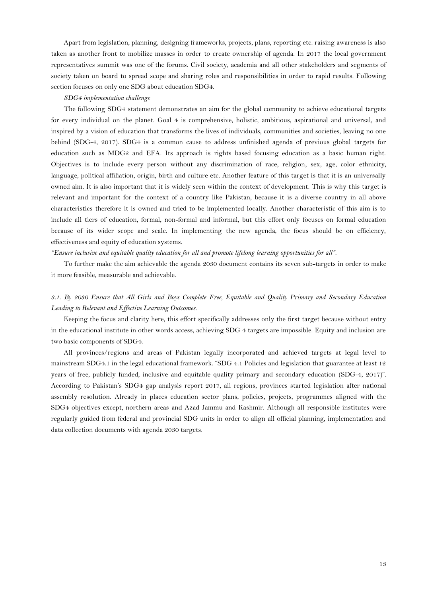Apart from legislation, planning, designing frameworks, projects, plans, reporting etc. raising awareness is also taken as another front to mobilize masses in order to create ownership of agenda. In 2017 the local government representatives summit was one of the forums. Civil society, academia and all other stakeholders and segments of society taken on board to spread scope and sharing roles and responsibilities in order to rapid results. Following section focuses on only one SDG about education SDG4.

### *SDG4 implementation challenge*

The following SDG4 statement demonstrates an aim for the global community to achieve educational targets for every individual on the planet. Goal 4 is comprehensive, holistic, ambitious, aspirational and universal, and inspired by a vision of education that transforms the lives of individuals, communities and societies, leaving no one behind (SDG-4, 2017). SDG4 is a common cause to address unfinished agenda of previous global targets for education such as MDG2 and EFA. Its approach is rights based focusing education as a basic human right. Objectives is to include every person without any discrimination of race, religion, sex, age, color ethnicity, language, political affiliation, origin, birth and culture etc. Another feature of this target is that it is an universally owned aim. It is also important that it is widely seen within the context of development. This is why this target is relevant and important for the context of a country like Pakistan, because it is a diverse country in all above characteristics therefore it is owned and tried to be implemented locally. Another characteristic of this aim is to include all tiers of education, formal, non-formal and informal, but this effort only focuses on formal education because of its wider scope and scale. In implementing the new agenda, the focus should be on efficiency, effectiveness and equity of education systems.

*"Ensure inclusive and equitable quality education for all and promote lifelong learning opportunities for all".*

To further make the aim achievable the agenda 2030 document contains its seven sub-targets in order to make it more feasible, measurable and achievable.

# *3.1. By 2030 Ensure that All Girls and Boys Complete Free, Equitable and Quality Primary and Secondary Education Leading to Relevant and Effective Learning Outcomes.*

Keeping the focus and clarity here, this effort specifically addresses only the first target because without entry in the educational institute in other words access, achieving SDG 4 targets are impossible. Equity and inclusion are two basic components of SDG4.

All provinces/regions and areas of Pakistan legally incorporated and achieved targets at legal level to mainstream SDG4.1 in the legal educational framework. "SDG 4.1 Policies and legislation that guarantee at least 12 years of free, publicly funded, inclusive and equitable quality primary and secondary education [\(SDG-4,](#page-17-13) 2017)". According to Pakistan's SDG4 gap analysis report 2017, all regions, provinces started legislation after national assembly resolution. Already in places education sector plans, policies, projects, programmes aligned with the SDG4 objectives except, northern areas and Azad Jammu and Kashmir. Although all responsible institutes were regularly guided from federal and provincial SDG units in order to align all official planning, implementation and data collection documents with agenda 2030 targets.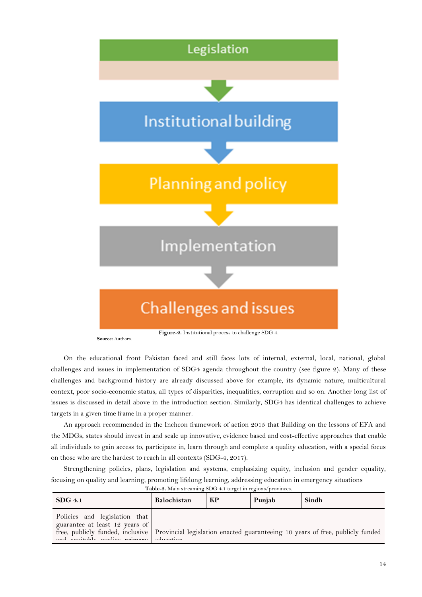

On the educational front Pakistan faced and still faces lots of internal, external, local, national, global challenges and issues in implementation of SDG4 agenda throughout the country (see figure 2). Many of these challenges and background history are already discussed above for example, its dynamic nature, multicultural context, poor socio-economic status, all types of disparities, inequalities, corruption and so on. Another long list of issues is discussed in detail above in the introduction section. Similarly, SDG4 has identical challenges to achieve targets in a given time frame in a proper manner.

An approach recommended in the Incheon framework of action 2015 that Building on the lessons of EFA and the MDGs, states should invest in and scale up innovative, evidence based and cost-effective approaches that enable all individuals to gain access to, participate in, learn through and complete a quality education, with a special focus on those who are the hardest to reach in all contexts (SDG-4, 2017).

Strengthening policies, plans, legislation and systems, emphasizing equity, inclusion and gender equality, focusing on quality and learning, promoting lifelong learning, addressing education in emergency situations

| $SDG$ 4.1                                                                                                                                                                                                                            | Balochistan | КP | Punjab | Sindh |
|--------------------------------------------------------------------------------------------------------------------------------------------------------------------------------------------------------------------------------------|-------------|----|--------|-------|
| Policies and legislation that<br>guarantee at least 12 years of<br>free, publicly funded, inclusive   Provincial legislation enacted guaranteeing 10 years of free, publicly funded<br>and contribute condition of the contribution. |             |    |        |       |

**Table-2.** Main streaming SDG 4.1 target in regions/provinces.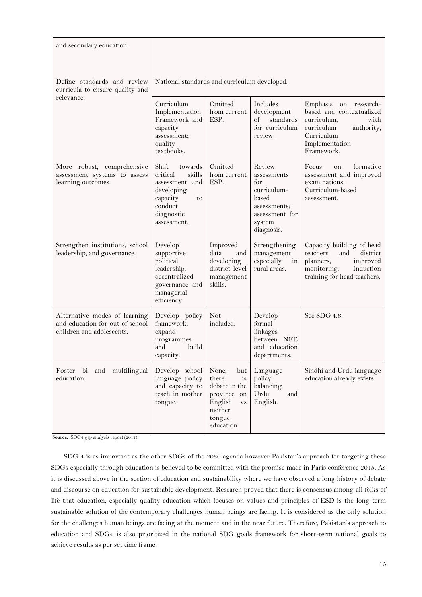| and secondary education.                                                                      |                                                                                                                                  |                                                                                                                         |                                                                                                                |                                                                                                                                                       |  |
|-----------------------------------------------------------------------------------------------|----------------------------------------------------------------------------------------------------------------------------------|-------------------------------------------------------------------------------------------------------------------------|----------------------------------------------------------------------------------------------------------------|-------------------------------------------------------------------------------------------------------------------------------------------------------|--|
| Define standards and review<br>curricula to ensure quality and<br>relevance.                  | National standards and curriculum developed.                                                                                     |                                                                                                                         |                                                                                                                |                                                                                                                                                       |  |
|                                                                                               | Curriculum<br>Implementation<br>Framework and<br>capacity<br>assessment;<br>quality<br>textbooks.                                | Omitted<br>from current<br>ESP.                                                                                         | Includes<br>development<br>of<br>standards<br>for curriculum<br>review.                                        | Emphasis<br>on research-<br>based and contextualized<br>curriculum,<br>with<br>curriculum<br>authority,<br>Curriculum<br>Implementation<br>Framework. |  |
| More robust, comprehensive<br>assessment systems to assess<br>learning outcomes.              | Shift<br>towards<br>critical<br>skills<br>assessment and<br>developing<br>capacity<br>to<br>conduct<br>diagnostic<br>assessment. | Omitted<br>from current<br>ESP.                                                                                         | Review<br>assessments<br>for<br>curriculum-<br>based<br>assessments;<br>assessment for<br>system<br>diagnosis. | formative<br>Focus<br>on<br>assessment and improved<br>examinations.<br>Curriculum-based<br>assessment.                                               |  |
| Strengthen institutions, school<br>leadership, and governance.                                | Develop<br>supportive<br>political<br>leadership,<br>decentralized<br>governance and<br>managerial<br>efficiency.                | Improved<br>data<br>and<br>developing<br>district level<br>management<br>skills.                                        | Strengthening<br>management<br>especially<br>in<br>rural areas.                                                | Capacity building of head<br>district<br>teachers<br>and<br>planners,<br>improved<br>monitoring.<br>Induction<br>training for head teachers.          |  |
| Alternative modes of learning<br>and education for out of school<br>children and adolescents. | Develop policy<br>framework,<br>expand<br>programmes<br>and<br>build<br>capacity.                                                | Not<br>included.                                                                                                        | Develop<br>formal<br>linkages<br>between NFE<br>and education<br>departments.                                  | See SDG 4.6.                                                                                                                                          |  |
| Foster<br>bi<br>and multilingual<br>education.                                                | Develop school<br>language policy<br>and capacity to<br>teach in mother<br>tongue.                                               | None,<br>but<br>there<br>is<br>debate in the<br>province on<br>English<br>$_{\rm VS}$<br>mother<br>tongue<br>education. | Language<br>policy<br>balancing<br>Urdu<br>and<br>English.                                                     | Sindhi and Urdu language<br>education already exists.                                                                                                 |  |

**Source:** SDG4 gap analysis report (2017).

SDG 4 is as important as the other SDGs of the 2030 agenda however Pakistan's approach for targeting these SDGs especially through education is believed to be committed with the promise made in Paris conference 2015. As it is discussed above in the section of education and sustainability where we have observed a long history of debate and discourse on education for sustainable development. Research proved that there is consensus among all folks of life that education, especially quality education which focuses on values and principles of ESD is the long term sustainable solution of the contemporary challenges human beings are facing. It is considered as the only solution for the challenges human beings are facing at the moment and in the near future. Therefore, Pakistan's approach to education and SDG4 is also prioritized in the national SDG goals framework for short-term national goals to achieve results as per set time frame.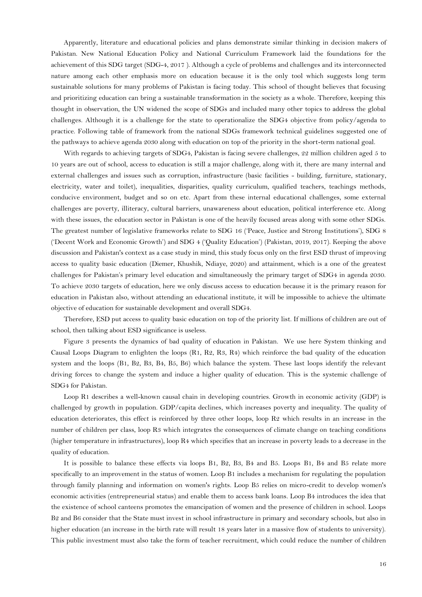Apparently, literature and educational policies and plans demonstrate similar thinking in decision makers of Pakistan. New National Education Policy and National Curriculum Framework laid the foundations for the achievement of this SDG target [\(SDG-4,](#page-17-13) 2017 ). Although a cycle of problems and challenges and its interconnected nature among each other emphasis more on education because it is the only tool which suggests long term sustainable solutions for many problems of Pakistan is facing today. This school of thought believes that focusing and prioritizing education can bring a sustainable transformation in the society as a whole. Therefore, keeping this thought in observation, the UN widened the scope of SDGs and included many other topics to address the global challenges. Although it is a challenge for the state to operationalize the SDG4 objective from policy/agenda to practice. Following table of framework from the national SDGs framework technical guidelines suggested one of the pathways to achieve agenda 2030 along with education on top of the priority in the short-term national goal.

With regards to achieving targets of SDG4, Pakistan is facing severe challenges, 22 million children aged 5 to 10 years are out of school, access to education is still a major challenge, along with it, there are many internal and external challenges and issues such as corruption, infrastructure (basic facilities - building, furniture, stationary, electricity, water and toilet), inequalities, disparities, quality curriculum, qualified teachers, teachings methods, conducive environment, budget and so on etc. Apart from these internal educational challenges, some external challenges are poverty, illiteracy, cultural barriers, unawareness about education, political interference etc. Along with these issues, the education sector in Pakistan is one of the heavily focused areas along with some other SDGs. The greatest number of legislative frameworks relate to SDG 16 ('Peace, Justice and Strong Institutions'), SDG 8 ('Decent Work and Economic Growth') and SDG 4 ('Quality Education') (Pakistan, [2019, 2017\)](#page-17-14). Keeping the above discussion and Pakistan's context as a case study in mind, this study focus only on the first ESD thrust of improving access to quality basic education [\(Diemer, Khushik, Ndiaye, 2020\)](#page-16-0) and attainment, which is a one of the greatest challenges for Pakistan's primary level education and simultaneously the primary target of SDG4 in agenda 2030. To achieve 2030 targets of education, here we only discuss access to education because it is the primary reason for education in Pakistan also, without attending an educational institute, it will be impossible to achieve the ultimate objective of education for sustainable development and overall SDG4.

Therefore, ESD put access to quality basic education on top of the priority list. If millions of children are out of school, then talking about ESD significance is useless.

Figure 3 presents the dynamics of bad quality of education in Pakistan. We use here System thinking and Causal Loops Diagram to enlighten the loops (R1, R2, R3, R4) which reinforce the bad quality of the education system and the loops (B1, B2, B3, B4, B5, B6) which balance the system. These last loops identify the relevant driving forces to change the system and induce a higher quality of education. This is the systemic challenge of SDG4 for Pakistan.

Loop R1 describes a well-known causal chain in developing countries. Growth in economic activity (GDP) is challenged by growth in population. GDP/capita declines, which increases poverty and inequality. The quality of education deteriorates, this effect is reinforced by three other loops, loop R2 which results in an increase in the number of children per class, loop R3 which integrates the consequences of climate change on teaching conditions (higher temperature in infrastructures), loop R4 which specifies that an increase in poverty leads to a decrease in the quality of education.

It is possible to balance these effects via loops B1, B2, B3, B4 and B5. Loops B1, B4 and B5 relate more specifically to an improvement in the status of women. Loop B1 includes a mechanism for regulating the population through family planning and information on women's rights. Loop B5 relies on micro-credit to develop women's economic activities (entrepreneurial status) and enable them to access bank loans. Loop B4 introduces the idea that the existence of school canteens promotes the emancipation of women and the presence of children in school. Loops B2 and B6 consider that the State must invest in school infrastructure in primary and secondary schools, but also in higher education (an increase in the birth rate will result 18 years later in a massive flow of students to university). This public investment must also take the form of teacher recruitment, which could reduce the number of children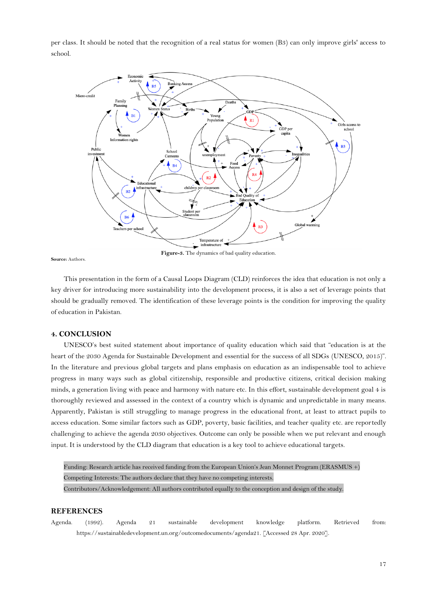per class. It should be noted that the recognition of a real status for women (B3) can only improve girls' access to school.



**Source:** Authors.

**Figure-3.** The dynamics of bad quality education.

This presentation in the form of a Causal Loops Diagram (CLD) reinforces the idea that education is not only a key driver for introducing more sustainability into the development process, it is also a set of leverage points that should be gradually removed. The identification of these leverage points is the condition for improving the quality of education in Pakistan.

## **4. CONCLUSION**

UNESCO's best suited statement about importance of quality education which said that "education is at the heart of the 2030 Agenda for Sustainable Development and essential for the success of all SDGs (UNESCO, 2015)". In the literature and previous global targets and plans emphasis on education as an indispensable tool to achieve progress in many ways such as global citizenship, responsible and productive citizens, critical decision making minds, a generation living with peace and harmony with nature etc. In this effort, sustainable development goal 4 is thoroughly reviewed and assessed in the context of a country which is dynamic and unpredictable in many means. Apparently, Pakistan is still struggling to manage progress in the educational front, at least to attract pupils to access education. Some similar factors such as GDP, poverty, basic facilities, and teacher quality etc. are reportedly challenging to achieve the agenda 2030 objectives. Outcome can only be possible when we put relevant and enough input. It is understood by the CLD diagram that education is a key tool to achieve educational targets.

Funding: Research article has received funding from the European Union's Jean Monnet Program (ERASMUS +) Competing Interests: The authors declare that they have no competing interests. Contributors/Acknowledgement: All authors contributed equally to the conception and design of the study.

## **REFERENCES**

<span id="page-16-0"></span>Agenda. (1992). Agenda 21 sustainable development knowledge platform. Retrieved from: https://sustainabledevelopment.un.org/outcomedocuments/agenda21. [Accessed 28 Apr. 2020].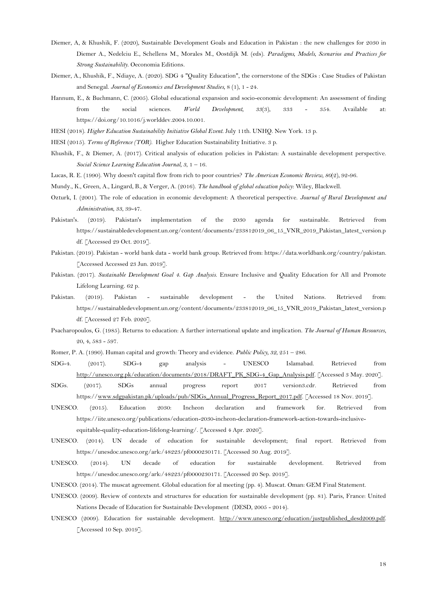- Diemer, A, & Khushik, F. (2020), Sustainable Development Goals and Education in Pakistan : the new challenges for 2030 in Diemer A., Nedelciu E., Schellens M., Morales M., Oostdijk M. (eds). *Paradigms, Models, Scenarios and Practices for Strong Sustainability*. Oeconomia Editions.
- Diemer, A., Khushik, F., Ndiaye, A. (2020). SDG 4 "Quality Education", the cornerstone of the SDGs : Case Studies of Pakistan and Senegal. *Journal of Economics and Development Studies,* 8 (1), 1 - 24.
- <span id="page-17-2"></span>Hannum, E., & Buchmann, C. (2005). Global educational expansion and socio-economic development: An assessment of finding from the social sciences. *World Development, 33*(3), 333 - 354. Available at: https://doi.org/10.1016/j.worlddev.2004.10.001.
- HESI (2018). *Higher Education Sustainability Initiative Global Event*. July 11th. UNHQ. New York. 13 p.
- HESI (2015). *Terms of Reference (TOR)*. Higher Education Sustainability Initiative. 3 p.
- <span id="page-17-0"></span>Khushik, F., & Diemer, A. (2017). Critical analysis of education policies in Pakistan: A sustainable development perspective. *Social Science Learning Education Journal, 3*, 1 – 16.
- <span id="page-17-4"></span>Lucas, R. E. (1990). Why doesn't capital flow from rich to poor countries? *The American Economic Review, 80*(2), 92-96.
- <span id="page-17-1"></span>Mundy., K., Green, A., Lingard, B., & Verger, A. (2016). *The handbook of global education policy*: Wiley, Blackwell.
- <span id="page-17-6"></span>Ozturk, I. (2001). The role of education in economic development: A theoretical perspective. *Journal of Rural Development and Administration, 33*, 39-47.
- <span id="page-17-12"></span>Pakistan's. (2019). Pakistan's implementation of the 2030 agenda for sustainable. Retrieved from https://sustainabledevelopment.un.org/content/documents/233812019\_06\_15\_VNR\_2019\_Pakistan\_latest\_version.p df. [Accessed 29 Oct. 2019].
- <span id="page-17-3"></span>Pakistan. (2019). Pakistan - world bank data - world bank group. Retrieved from: https://data.worldbank.org/country/pakistan. [Accessed Accessed 23 Jun. 2019].
- Pakistan. (2017). *Sustainable Development Goal 4. Gap Analysis*. Ensure Inclusive and Quality Education for All and Promote Lifelong Learning. 62 p.
- <span id="page-17-14"></span>Pakistan. (2019). Pakistan - sustainable development - the United Nations. Retrieved from: https://sustainabledevelopment.un.org/content/documents/233812019\_06\_15\_VNR\_2019\_Pakistan\_latest\_version.p df. [Accessed 27 Feb. 2020].
- Psacharopoulos, G. (1985). Returns to education: A further international update and implication. *The Journal of Human Resources*, 20, 4, 583 - 597.
- <span id="page-17-5"></span>Romer, P. A. (1990). Human capital and growth: Theory and evidence. *Public Policy, 32*, 251 – 286.
- <span id="page-17-13"></span>SDG-4. (2017). SDG-4 gap analysis - UNESCO Islamabad. Retrieved from [http://unesco.org.pk/education/documents/2018/DRAFT\\_PK\\_SDG-4\\_Gap\\_Analysis.pdf.](http://unesco.org.pk/education/documents/2018/DRAFT_PK_SDG-4_Gap_Analysis.pdf) [Accessed 3 May. 2020].
- SDGs. (2017). SDGs annual progress report 2017 version3.cdr. Retrieved from https:/[/www.sdgpakistan.pk/uploads/pub/SDGs\\_Annual\\_Progress\\_Report\\_2017.pdf.](http://www.sdgpakistan.pk/uploads/pub/SDGs_Annual_Progress_Report_2017.pdf) [Accessed 18 Nov. 2019].
- UNESCO. (2015). Education 2030: Incheon declaration and framework for. Retrieved from https://iite.unesco.org/publications/education-2030-incheon-declaration-framework-action-towards-inclusiveequitable-quality-education-lifelong-learning/. [Accessed 4 Apr. 2020].
- <span id="page-17-8"></span>UNESCO. (2014). UN decade of education for sustainable development; final report. Retrieved from https://unesdoc.unesco.org/ark:/48223/pf0000230171. [Accessed 30 Aug. 2019].
- <span id="page-17-11"></span>UNESCO. (2014). UN decade of education for sustainable development. Retrieved from https://unesdoc.unesco.org/ark:/48223/pf0000230171. [Accessed 20 Sep. 2019].
- <span id="page-17-10"></span>UNESCO. (2014). The muscat agreement. Global education for al meeting (pp. 4). Muscat. Oman: GEM Final Statement.
- <span id="page-17-7"></span>UNESCO. (2009). Review of contexts and structures for education for sustainable development (pp. 81). Paris, France: United Nations Decade of Education for Sustainable Development (DESD, 2005 - 2014).
- <span id="page-17-9"></span>UNESCO (2009). Education for sustainable development. [http://www.unesco.org/education/justpublished\\_desd2009.pdf.](http://www.unesco.org/education/justpublished_desd2009.pdf) [Accessed 10 Sep. 2019].